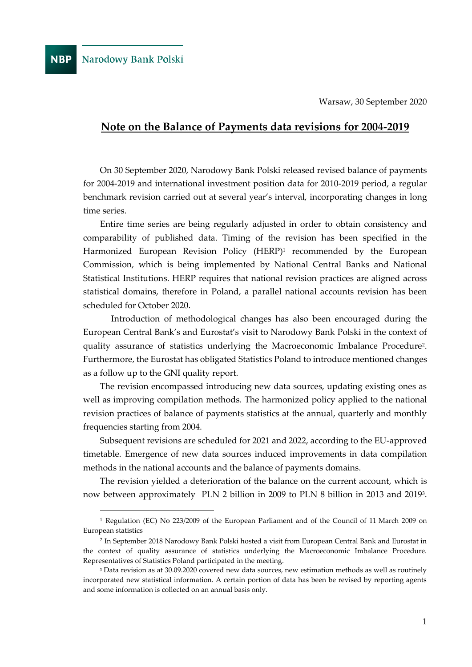Warsaw, 30 September 2020

# **Note on the Balance of Payments data revisions for 2004-2019**

On 30 September 2020, Narodowy Bank Polski released revised balance of payments for 2004-2019 and international investment position data for 2010-2019 period, a regular benchmark revision carried out at several year's interval, incorporating changes in long time series.

Entire time series are being regularly adjusted in order to obtain consistency and comparability of published data. Timing of the revision has been specified in the Harmonized European Revision Policy (HERP)<sup>1</sup> recommended by the European Commission, which is being implemented by National Central Banks and National Statistical Institutions. HERP requires that national revision practices are aligned across statistical domains, therefore in Poland, a parallel national accounts revision has been scheduled for October 2020.

Introduction of methodological changes has also been encouraged during the European Central Bank's and Eurostat's visit to Narodowy Bank Polski in the context of quality assurance of statistics underlying the Macroeconomic Imbalance Procedure<sup>2</sup> . Furthermore, the Eurostat has obligated Statistics Poland to introduce mentioned changes as a follow up to the GNI quality report.

The revision encompassed introducing new data sources, updating existing ones as well as improving compilation methods. The harmonized policy applied to the national revision practices of balance of payments statistics at the annual, quarterly and monthly frequencies starting from 2004.

Subsequent revisions are scheduled for 2021 and 2022, according to the EU-approved timetable. Emergence of new data sources induced improvements in data compilation methods in the national accounts and the balance of payments domains.

The revision yielded a deterioration of the balance on the current account, which is now between approximately PLN 2 billion in 2009 to PLN 8 billion in 2013 and 2019<sup>3</sup> .

<sup>1</sup> Regulation (EC) No 223/2009 of the European Parliament and of the Council of 11 March 2009 on European statistics

<sup>2</sup> In September 2018 Narodowy Bank Polski hosted a visit from European Central Bank and Eurostat in the context of quality assurance of statistics underlying the Macroeconomic Imbalance Procedure. Representatives of Statistics Poland participated in the meeting.

<sup>3</sup> Data revision as at 30.09.2020 covered new data sources, new estimation methods as well as routinely incorporated new statistical information. A certain portion of data has been be revised by reporting agents and some information is collected on an annual basis only.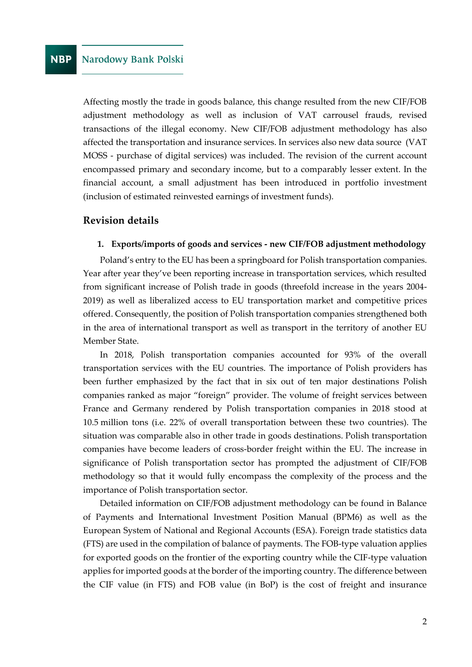Affecting mostly the trade in goods balance, this change resulted from the new CIF/FOB adjustment methodology as well as inclusion of VAT carrousel frauds, revised transactions of the illegal economy. New CIF/FOB adjustment methodology has also affected the transportation and insurance services. In services also new data source (VAT MOSS - purchase of digital services) was included. The revision of the current account encompassed primary and secondary income, but to a comparably lesser extent. In the financial account, a small adjustment has been introduced in portfolio investment (inclusion of estimated reinvested earnings of investment funds).

# **Revision details**

#### **1. Exports/imports of goods and services - new CIF/FOB adjustment methodology**

Poland's entry to the EU has been a springboard for Polish transportation companies. Year after year they've been reporting increase in transportation services, which resulted from significant increase of Polish trade in goods (threefold increase in the years 2004- 2019) as well as liberalized access to EU transportation market and competitive prices offered. Consequently, the position of Polish transportation companies strengthened both in the area of international transport as well as transport in the territory of another EU Member State.

In 2018, Polish transportation companies accounted for 93% of the overall transportation services with the EU countries. The importance of Polish providers has been further emphasized by the fact that in six out of ten major destinations Polish companies ranked as major "foreign" provider. The volume of freight services between France and Germany rendered by Polish transportation companies in 2018 stood at 10.5 million tons (i.e. 22% of overall transportation between these two countries). The situation was comparable also in other trade in goods destinations. Polish transportation companies have become leaders of cross-border freight within the EU. The increase in significance of Polish transportation sector has prompted the adjustment of CIF/FOB methodology so that it would fully encompass the complexity of the process and the importance of Polish transportation sector.

Detailed information on CIF/FOB adjustment methodology can be found in Balance of Payments and International Investment Position Manual (BPM6) as well as the European System of National and Regional Accounts (ESA). Foreign trade statistics data (FTS) are used in the compilation of balance of payments. The FOB-type valuation applies for exported goods on the frontier of the exporting country while the CIF-type valuation applies for imported goods at the border of the importing country. The difference between the CIF value (in FTS) and FOB value (in BoP) is the cost of freight and insurance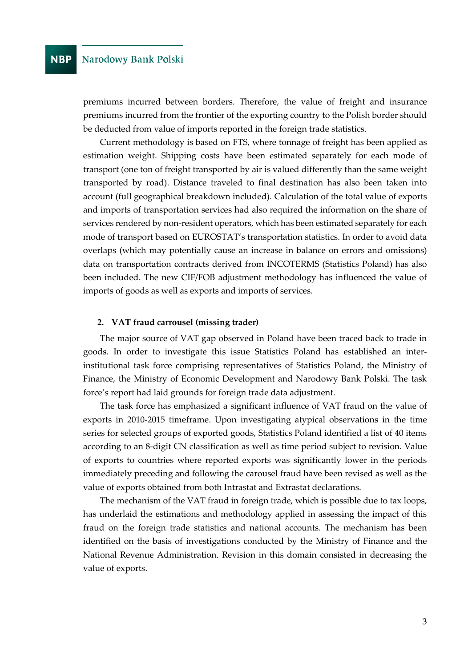premiums incurred between borders. Therefore, the value of freight and insurance premiums incurred from the frontier of the exporting country to the Polish border should be deducted from value of imports reported in the foreign trade statistics.

Current methodology is based on FTS, where tonnage of freight has been applied as estimation weight. Shipping costs have been estimated separately for each mode of transport (one ton of freight transported by air is valued differently than the same weight transported by road). Distance traveled to final destination has also been taken into account (full geographical breakdown included). Calculation of the total value of exports and imports of transportation services had also required the information on the share of services rendered by non-resident operators, which has been estimated separately for each mode of transport based on EUROSTAT's transportation statistics. In order to avoid data overlaps (which may potentially cause an increase in balance on errors and omissions) data on transportation contracts derived from INCOTERMS (Statistics Poland) has also been included. The new CIF/FOB adjustment methodology has influenced the value of imports of goods as well as exports and imports of services.

#### **2. VAT fraud carrousel (missing trader)**

The major source of VAT gap observed in Poland have been traced back to trade in goods. In order to investigate this issue Statistics Poland has established an interinstitutional task force comprising representatives of Statistics Poland, the Ministry of Finance, the Ministry of Economic Development and Narodowy Bank Polski. The task force's report had laid grounds for foreign trade data adjustment.

The task force has emphasized a significant influence of VAT fraud on the value of exports in 2010-2015 timeframe. Upon investigating atypical observations in the time series for selected groups of exported goods, Statistics Poland identified a list of 40 items according to an 8-digit CN classification as well as time period subject to revision. Value of exports to countries where reported exports was significantly lower in the periods immediately preceding and following the carousel fraud have been revised as well as the value of exports obtained from both Intrastat and Extrastat declarations.

The mechanism of the VAT fraud in foreign trade, which is possible due to tax loops, has underlaid the estimations and methodology applied in assessing the impact of this fraud on the foreign trade statistics and national accounts. The mechanism has been identified on the basis of investigations conducted by the Ministry of Finance and the National Revenue Administration. Revision in this domain consisted in decreasing the value of exports.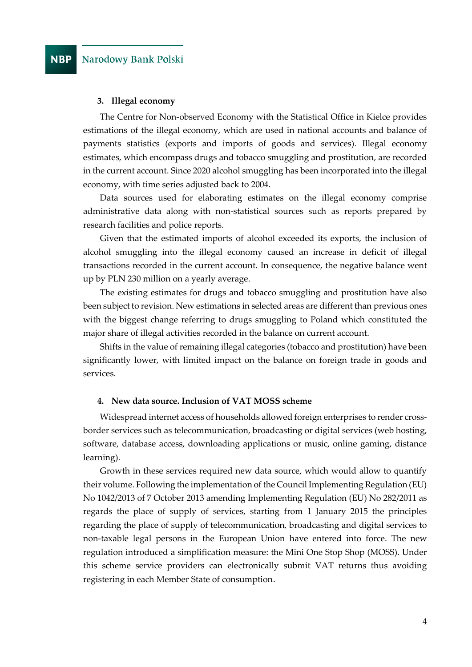#### **3. Illegal economy**

The Centre for Non-observed Economy with the Statistical Office in Kielce provides estimations of the illegal economy, which are used in national accounts and balance of payments statistics (exports and imports of goods and services). Illegal economy estimates, which encompass drugs and tobacco smuggling and prostitution, are recorded in the current account. Since 2020 alcohol smuggling has been incorporated into the illegal economy, with time series adjusted back to 2004.

Data sources used for elaborating estimates on the illegal economy comprise administrative data along with non-statistical sources such as reports prepared by research facilities and police reports.

Given that the estimated imports of alcohol exceeded its exports, the inclusion of alcohol smuggling into the illegal economy caused an increase in deficit of illegal transactions recorded in the current account. In consequence, the negative balance went up by PLN 230 million on a yearly average.

The existing estimates for drugs and tobacco smuggling and prostitution have also been subject to revision. New estimations in selected areas are different than previous ones with the biggest change referring to drugs smuggling to Poland which constituted the major share of illegal activities recorded in the balance on current account.

Shifts in the value of remaining illegal categories (tobacco and prostitution) have been significantly lower, with limited impact on the balance on foreign trade in goods and services.

#### **4. New data source. Inclusion of VAT MOSS scheme**

Widespread internet access of households allowed foreign enterprises to render crossborder services such as telecommunication, broadcasting or digital services (web hosting, software, database access, downloading applications or music, online gaming, distance learning).

Growth in these services required new data source, which would allow to quantify their volume. Following the implementation of the Council Implementing Regulation (EU) No 1042/2013 of 7 October 2013 amending Implementing Regulation (EU) No 282/2011 as regards the place of supply of services, starting from 1 January 2015 the principles regarding the place of supply of telecommunication, broadcasting and digital services to non-taxable legal persons in the European Union have entered into force. The new regulation introduced a simplification measure: the Mini One Stop Shop (MOSS). Under this scheme service providers can electronically submit VAT returns thus avoiding registering in each Member State of consumption.